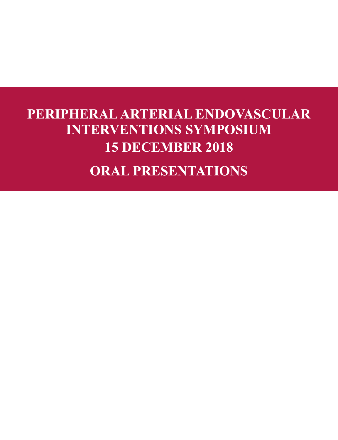# **PERIPHERAL ARTERIAL ENDOVASCULAR INTERVENTIONS SYMPOSIUM 15 DECEMBER 2018 ORAL PRESENTATIONS**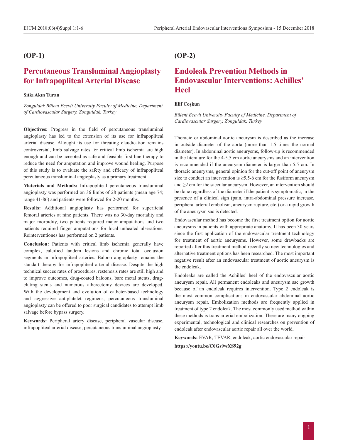### **(OP-1)**

# **Percutaneous Transluminal Angioplasty for Infrapopliteal Arterial Disease**

#### **Sıtkı Akın Turan**

*Zonguldak Bülent Ecevit University Faculty of Medicine, Department of Cardiovascular Surgery, Zonguldak, Turkey*

**Objectives:** Progress in the field of percutaneous transluminal angioplasty has led to the extension of its use for infrapopliteal arterial disease. Altought its use for threating claudication remains controversial, limb salvage rates for critical limb ischemia are high enough and can be accepted as safe and feasible first line therapy to reduce the need for amputation and improve wound healing. Purpose of this study is to evaluate the safety and efficacy of infrapopliteal percutaneous transluminal angioplasty as a primary treatment.

**Materials and Methods:** Infrapopliteal percutaneous transluminal angioplasty was performed on 36 limbs of 28 patients (mean age 74; range 41-86) and patients were followed for 2-20 months.

**Results:** Additional angioplasty has performed for superficial femoral arteries at nine patients. There was no 30-day mortality and major morbidity, two patients required major amputations and two patients required finger amputations for local unhealed ulserations. Reinterventiones has performed on 2 patients.

**Conclusion:** Patients with critical limb ischemia generally have complex, calcified tandem lesions and chronic total occlusion segments in infrapopliteal arteries. Baloon angioplasty remains the standart therapy for infrapopliteal arterial disease. Despite the high technical succes rates of procedures, restenosis rates are still high and to improve outcomes, drug-coated baloons, bare metal stents, drugeluting stents and numerous atherectomy devices are developed. With the development and evolution of catheter-based technology and aggressive antiplatelet regimens, percutaneous transluminal angioplasty can be offered to poor surgical candidates to attempt limb salvage before bypass surgery.

**Keywords:** Peripheral artery disease, peripheral vascular disease, infrapopliteal arterial disease, percutaneous transluminal angioplasty

### **(OP-2)**

# **Endoleak Prevention Methods in Endovascular Interventions: Achilles' Heel**

#### **Elif Coşkun**

*Bülent Ecevit University Faculty of Medicine, Department of Cardiovascular Surgery, Zonguldak, Turkey*

Thoracic or abdominal aortic aneurysm is described as the increase in outside diameter of the aorta (more than 1.5 times the normal diameter). In abdominal aortic aneurysms, follow-up is recommended in the literature for the 4-5.5 cm aortic aneurysms and an intervention is recommended if the aneurysm diameter is larger than 5.5 cm. In thoracic aneurysms, general opinion for the cut-off point of aneurysm size to conduct an intervention is  $\geq$ 5.5-6 cm for the fusiform aneurysm and ≥2 cm for the saccular aneurysm. However, an intervention should be done regardless of the diameter if the patient is symptomatic, in the presence of a clinical sign (pain, intra-abdominal pressure increase, peripheral arterial embolism, aneurysm rupture, etc.) or a rapid growth of the aneurysm sac is detected.

Endovascular method has become the first treatment option for aortic aneurysms in patients with appropriate anatomy. It has been 30 years since the first application of the endovascular treatment technology for treatment of aortic aneurysms. However, some drawbacks are reported after this treatment method recently so new technologies and alternative treatment options has been researched. The most important negative result after an endovascular treatment of aortic aneurysm is the endoleak.

Endoleaks are called the Achilles' heel of the endovascular aortic aneurysm repair. All permanent endoleaks and aneurysm sac growth because of an endoleak requires intervention. Type 2 endoleak is the most common complications in endovascular abdominal aortic aneurysm repair. Embolization methods are frequently applied in treatment of type 2 endoleak. The most commonly used method within these methods is trans-arterial embolization. There are many ongoing experimental, technological and clinical researches on prevention of endoleak after endovascular aortic repair all over the world.

**Keywords:** EVAR, TEVAR, endoleak, aortic endovascular repair **https://youtu.be/C0Gs9wXS92g**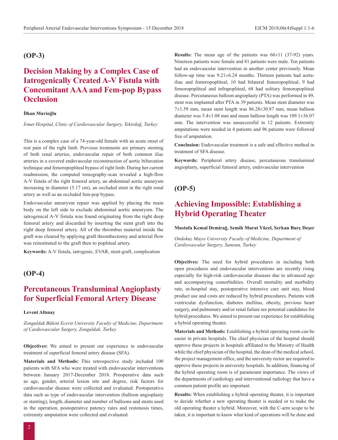### **(OP-3)**

# **Decision Making by a Complex Case of Iatrogenically Created A-V Fistula with Concomitant AAA and Fem-pop Bypass Occlusion**

#### **İlhan Mavioğlu**

*İrmet Hospital, Clinic of Cardiovascular Surgery, Tekirdağ, Turkey*

This is a complex case of a 74-year-old female with an acute onset of rest pain of the right limb. Previous treatments are primary stenting of both renal arteries, endovascular repair of both common iliac arteries in a covered endovascular reconstruction of aortic bifurcation technique and femoropopliteal bypass of right limb. During her current readmission, the computed tomography-scan revealed a high-flow A-V fistula of the right femoral artery, an abdominal aortic aneurysm increasing in diameter (5.17 cm), an occluded stent in the right renal artery as well as an occluded fem-pop bypass.

Endovascular aneurysm repair was applied by placing the main body on the left side to exclude abdominal aortic aneurysm. The iatrogenical A-V fistula was found originating from the right deep femoral artery and discarded by inserting the stent graft into the right deep femoral artery. All of the thrombus material inside the graft was cleared by applying graft thrombectomy and arterial flow was reinstituted to the graft then to popliteal artery.

**Keywords:** A-V fistula, iatrogenic, EVAR, stent-graft, complication

### **(OP-4)**

# **Percutaneous Transluminal Angioplasty for Superficial Femoral Artery Disease**

#### **Levent Altınay**

*Zonguldak Bülent Ecevit University Faculty of Medicine, Department of Cardiovascular Surgery, Zonguldak, Turkey*

**Objectives:** We aimed to present our experience in endovascular treatment of superficial femoral artery disease (SFA).

**Materials and Methods:** This retrospective study included 100 patients with SFA who were treated with endovascular interventions between January 2017-December 2018. Preoperative data such as age, gender, arterial lesion site and degree, risk factors for cardiovascular disease were collected and evaluated. Postoperative data such as type of endovascular intervention (balloon angioplasty or stenting), length, diameter and number of balloons and stents used in the operation, postoperative patency rates and restenosis times, extremity amputation were collected and evaluated.

**Results:** The mean age of the patients was  $66\pm11$  (37-92) years. Nineteen patients were female and 81 patients were male. Ten patients had an endovascular intervention in another center previously. Mean follow-up time was 9.21±6.24 months. Thirteen patients had aortailiac and femoropopliteal, 10 had bilateral femoropopliteal, 9 had femoropopliteal and infrapopliteal, 68 had solitary femoropopliteal disease. Percutaneous balloon angioplasty (PTA) was performed in 49, stent was implanted after PTA in 39 patients. Mean stent diameter was 7±1.59 mm, mean stent length was 86.28±30.87 mm, mean balloon diameter was 5.4±1.08 mm and mean balloon length was 109.1±36.07 mm. The intervention was unsuccessful in 12 patients. Extremity amputations were needed in 4 patients and 96 patients were followed free of amputation.

**Conclusion:** Endovascular treatment is a safe and effective method in treatment of SFA disease.

**Keywords:** Peripheral artery disease, percutaneous transluminal angioplasty, superficial femoral artery, endovascular intervention

### **(OP-5)**

# **Achieving Impossible: Establishing a Hybrid Operating Theater**

#### **Mustafa Kemal Demirağ, Semih Murat Yücel, Serkan Burç Deşer**

*Ondokuz Mayıs University Faculty of Medicine, Department of Cardiovascular Surgery, Samsun, Turkey*

**Objectives:** The need for hybrid procedures in including both open procedures and endovascular interventions are recently rising especially for high-risk cardiovascular diseases due to advanced age and accompanying comorbidities. Overall mortality and morbidity rate, in-hospital stay, postoperative intensive care unit stay, blood product use and costs are reduced by hybrid procedures. Patients with ventricular dysfunction, diabetes mellitus, obesity, previous heart surgery, and pulmonary and/or renal failure are potential candidates for hybrid procedures. We aimed to present our experience for establishing a hybrid operating theater.

**Materials and Methods:** Establishing a hybrid operating room can be easier in private hospitals. The chief physician of the hospital should approve these projects in hospitals affiliated to the Ministry of Health while the chief physician of the hospital, the dean of the medical school, the project management office, and the university rector are required to approve these projects in university hospitals. In addition, financing of the hybrid operating room is of paramount importance. The views of the departments of cardiology and interventional radiology that have a common patient profile are important.

**Results:** When establishing a hybrid operating theater, it is important to decide whether a new operating theater is needed or to make the old operating theater a hybrid. Moreover, with the C-arm scope to be taken, it is important to know what kind of operations will be done and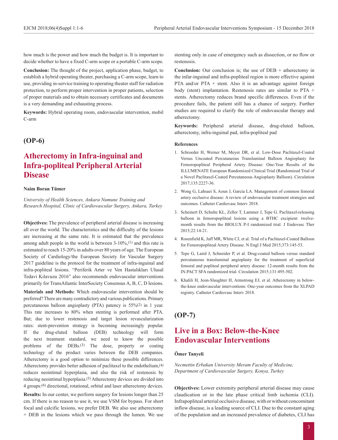how much is the power and how much the budget is. It is important to decide whether to have a fixed C-arm scope or a portable C-arm scope.

**Conclusion:** The thought of the project, application phase, budget, to establish a hybrid operating theater, purchasing a C-arm scope, learn to use, providing in-service training to operating theater staff for radiation protection, to perform proper intervention in proper patients, selection of proper materials and to obtain necessary certificates and documents is a very demanding and exhausting process.

**Keywords:** Hybrid operating room, endovascular intervention, mobil C-arm

### **(OP-6)**

# **Atherectomy in Infra-inguinal and Infra-popliteal Peripheral Arterial Disease**

#### **Naim Boran Tümer**

*University of Health Sciences, Ankara Numune Training and Research Hospital, Clinic of Cardiovascular Surgery, Ankara, Turkey*

**Objectives:** The prevalence of peripheral arterial disease is increasing all over the world. The characteristics and the difficulty of the lesions are increasing at the same rate. It is estimated that the prevalence among adult people in the world is between  $3-10\%,$ <sup>(1)</sup> and this rate is estimated to reach 15-20% in adults over 80 years of age. The European Society of Cardiology/the European Society for Vascular Surgery 2017 guideline is the protocol for the treatment of infra-inguinal and infra-popliteal lesions. "Periferik Arter ve Ven Hastalıkları Ulusal Tedavi Kılavuzu 2016" also recommends endovascular interventions primarily for TransAtlantic InterSociety Consensus A, B, C, D lesions.

**Materials and Methods:** Which endovascular intervention should be preferred? There are many contradictory and various publications. Primary percutaneous balloon angioplasty (PTA) patency is 55%(2) in 1 year. This rate increases to 80% when stenting is performed after PTA. But; due to lower restenosis and target lesion revascularization rates: stent-prevention strategy is becoming increasingly popular. If the drug-eluted balloon (DEB) technology will form the next treatment standard, we need to know the possible problems of the DEBs.(3) The dose, property or coating technology of the product varies between the DEB companies. Atherectomy is a good option to minimize these possible differences. Atherectomy provides better adhesion of paclitaxel to the endothelium,(4) reduces neointimal hyperplasia, and also the risk of restenosis by reducing neointimal hyperplasia.(5) Atherectomy devices are divided into 4 groups:(6) directional, rotational, orbital and laser atherectomy devices.

**Results:** In our center, we perform surgery for lesions longer than 25 cm. If there is no reason to use it, we use VSM for bypass. For short focal and calcific lesions, we prefer DEB. We also use atherectomy + DEB in the lesions which we pass through the lumen. We use stenting only in case of emergency such as dissection, or no flow or restenosis.

**Conclusion:** Our conclusion is; the use of DEB + atherectomy in the infar-inguinal and infra-popliteal region is more effective against PTA and/or PTA + stent. Also it is an advantage against foreign body (stent) implantation. Restenosis rates are similar to PTA + stents. Atherectomy reduces brand specific differences. Even if the procedure fails, the patient still has a chance of surgery. Further studies are required to clarify the role of endovascular therapy and atherectomy.

**Keywords:** Peripheral arterial disease, drug-eluted balloon, atherectomy, infra-inguinal pad, infra-popliteal pad

#### **References**

- 1. Schroeder H, Werner M, Meyer DR, et al. Low-Dose Paclitaxel-Coated Versus Uncoated Percutaneous Transluminal Balloon Angioplasty for Femoropopliteal Peripheral Artery Disease: One-Year Results of the ILLUMENATE European Randomized Clinical Trial (Randomized Trial of a Novel Paclitaxel-Coated Percutaneous Angioplasty Balloon). Circulation 2017;135:2227-36.
- 2. Wong G, Lahsaei S, Aoun J, Garcia LA. Management of common femoral artery occlusive disease: A review of endovascular treatment strategies and outcomes. Catheter Cardiovasc Interv 2018.
- 3. Scheinert D, Schulte KL, Zeller T, Lammer J, Tepe G. Paclitaxel-releasing balloon in femoropopliteal lesions using a BTHC excipient: twelvemonth results from the BIOLUX P-I randomized trial. J Endovasc Ther 2015;22:14-21.
- 4. Rosenfield K, Jaff MR, White CJ, et al. Trial of a Paclitaxel-Coated Balloon for Femoropopliteal Artery Disease. N Engl J Med 2015;373:145-53.
- 5. Tepe G, Laird J, Schneider P, et al. Drug-coated balloon versus standard percutaneous transluminal angioplasty for the treatment of superficial femoral and popliteal peripheral artery disease: 12-month results from the IN.PACT SFA randomized trial. Circulation 2015;131:495-502.
- 6. Khalili H, Jeon-Slaughter H, Armstrong EJ, et al. Atherectomy in belowthe-knee endovascular interventions: One-year outcomes from the XLPAD registry. Catheter Cardiovasc Interv 2018.

### **(OP-7)**

# **Live in a Box: Below-the-Knee Endovascular Interventions**

### **Ömer Tanyeli**

*Necmettin Erbakan University Meram Faculty of Medicine, Department of Cardiovascular Surgery, Konya, Turkey*

**Objectives:** Lower extremity peripheral arterial disease may cause claudication or in the late phase critical limb ischemia (CLI). Infrapopliteal arterial occlusive disease, with or without concomitant inflow disease, is a leading source of CLI. Due to the constant aging of the population and an increased prevalence of diabetes, CLI has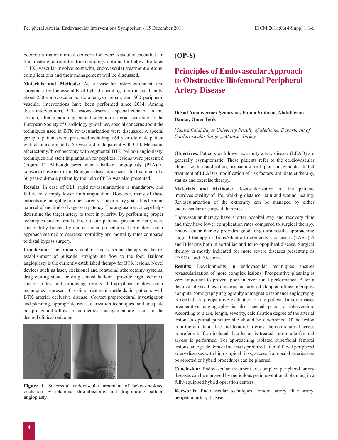become a major clinical concern for every vascular specialist. In this meeting, current treatment strategy options for below-the-knee (BTK) vascular involvement with, endovascular treatment options, complications and their management will be discussed.

**Materials and Methods:** As a vascular interventionalist and surgeon, after the assembly of hybrid operating room in our faculty, about 250 endovascular aortic aneurysm repair, and 500 peripheral vascular interventions have been performed since 2014. Among these interventions, BTK lesions deserve a special concern. In this session, after mentioning patient selection criteria according to the European Society of Cardiology guidelines, special concerns about the techniques used in BTK revascularization were discussed. A special group of patients were presented including a 64-year-old male patient with claudication and a 55-year-old male patient with CLI. Mechanic atherectomy/thrombectomy with segmental BTK balloon angioplasty, techniques and stent implantation for popliteal lesions were presented (Figure 1). Although percutaneous balloon angioplasty (PTA) is known to have no role in Buerger's disease, a successful treatment of a 36 year-old-male patient by the help of PTA was also presented.

**Results:** In case of CLI, rapid revascularization is mandatory, and failure may imply lower limb amputation. However, many of these patients are ineligible for open surgery. The primary goals thus become pain relief and limb salvage over patency. The angiosome concept helps determine the target artery to treat in priority. By performing proper techniques and materials, three of our patients, presented here, were successfully treated by endovascular procedures. The endovascular approach seemed to decrease morbidity and mortality rates compared to distal bypass surgery.

**Conclusion:** The primary goal of endovascular therapy is the reestablishment of pulsatile, straight-line flow to the foot. Balloon angioplasty is the currently established therapy for BTK lesions. Novel devices such as laser, excisional and rotational atherectomy systems, drug eluting stents or drug coated balloons provide high technical success rates and promising results. Infrapopliteal endovascular techniques represent first-line treatment methods in patients with BTK arterial occlusive disease. Correct preprocedural investigation and planning, appropriate revascularization techniques, and adequate postprocedural follow-up and medical management are crucial for the desired clinical outcome.



**Figure 1.** Successful endovascular treatment of below-the-knee occlusion by rotational thrombectomy and drug-eluting balloon angioplasty

### **(OP-8)**

# **Principles of Endovascular Approach to Obstructive Iliofemoral Peripheral Artery Disease**

#### **Dilşad Amanvermez Şenarslan, Funda Yıldırım, Abdülkerim Damar, Ömer Tetik**

*Manisa Celal Bayar University Faculty of Medicine, Department of Cardiovascular Surgery, Manisa, Turkey*

**Objectives:** Patients with lower extremity artery disease (LEAD) are generally asymptomatic. These patients refer to the cardiovascular clinics with claudication, ischaemic rest pain or wounds. Initial treatment of LEAD is modification of risk factors, antiplatelet therapy, statins and exercise therapy.

**Materials and Methods:** Revascularization of the patients improves quality of life, walking distance, pain and wound healing. Revascularization of the extremity can be managed by either endovascular or surgical therapies.

Endovascular therapy have shorter hospital stay and recovery time and they have lower complication rates compared to surgical therapy. Endovascular therapy provides good long-term results approaching surgical therapy in TransAtlantic InterSociety Consensus (TASC) A and B lesions both in aortoiliac and femoropopliteal disease. Surgical therapy is mostly indicated for more severe diseases presenting as TASC C and D lesions.

**Results:** Developments in endovascular techniques ensures revascularization of more complex lesions. Preoperative planning is very important to prevent poor interventional performance. After a detailed physical examination, an arterial doppler ultrasonography, computer tomography angiography or magnetic resonance angiography is needed for preoperative evaluation of the patient. In some cases preoperative angiography is also needed prior to intervention. According to place, length, severity, calcification degree of the arterial lesion an optimal puncture site should be determined. If the lesion is in the unilateral iliac and femoral arteries, the contralateral access is preferred. If an isolated iliac lesion is treated, retrograde femoral access is performed. For approaching isolated superficial femoral lesions, antegrade femoral access is preferred. In multilevel peripheral artery diseases with high surgical risks, access from pedal arteries can be selected or hybrid procedures can be planned.

**Conclusion:** Endovascular treatment of complex peripheral artery diseases can be managed by meticilous preinterventional planning in a fully-equipped hybrid operation centers.

**Keywords:** Endovascular techniques, femoral artery, iliac artery, peripheral artery disease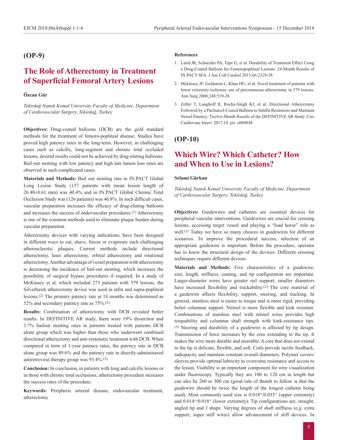### **(OP-9)**

# **The Role of Atherectomy in Treatment of Superficial Femoral Artery Lesions**

### **Özcan Gür**

*Tekirdağ Namık Kemal University Faculty of Medicine, Department of Cardiovascular Surgery, Tekirdağ, Turkey*

**Objectives:** Drug-coated balloons (DCB) are the gold standard methods for the treatment of femoro-popliteal disease. Studies have proved high patency rates in the long-term. However, in challenging cases such as calcific, long-segment and chronic total occluded lesions, desired results could not be achieved by drug-eluting balloons. Bail-out stenting with low patency and high late lumen loss rates are observed in such complicated cases.

**Materials and Methods:** Bail out stenting rate in IN.PACT Global Long Lesion Study (157 patients with mean lesion length of 26.40±8.61 mm) was 40.4% and in IN.PACT Global Chronic Total Occlusion Study was (126 patients) was 46.8%. In such difficult cases, vascular preparation increases the efficacy of drug-eluting balloons and increases the success of endovascular procedures.<sup>(1)</sup> Atherectomy is one of the common methods used to eliminate plaque burden during vascular preparation.

Atherectomy devices with varying indications, have been designed in different ways to cut, shave, freeze or evaporate such challenging atherosclerotic plaques. Current methods include directional atherectomy, laser atherectomy, orbital atherectomy and rotational atherectomy. Another advantage of vessel preparation with atherectomy is decreasing the incidence of bail-out stenting, which increases the possibility of surgical bypass procedures if required. In a study of McKinsey et al. which included 275 patients with 579 lesions, the Silverhawk atherectomy device was used in infra and supra-popliteal lesions.(2) The primary patency rate at 18 months was determined as 52% and secondary patency rate as 75%.(2)

**Results:** Combination of atherectomy with DCB revealed better results. In DEFINITIVE AR study, there were 19% dissection and 3.7% bailout stenting rates in patients treated with patients DCB alone group which was higher than those who underwent combined directional atherectomy and anti-restenotic treatment with DCB. When compared in term of 1-year patency rates, the patency rate in DCB alone group was 89.6% and the patency rate in directly-administered antiretroviral therapy group was 93.4%.(3)

**Conclusion:** In conclusion, in patients with long and calcific lesions or in those with chronic total occlusions, atherectomy procedure increases the success rates of the procedure.

**Keywords:** Peripheric arterial disease, endovascular treatment, atherectomy

#### **References**

- 1. Laird JR, Schneider PA, Tepe G, et al. Durability of Treatment Effect Using a Drug-Coated Balloon for Femoropopliteal Lesions: 24-Month Results of IN.PACT SFA. J Am Coll Cardiol 2015;66:2329-38.
- 2. Mckinsey JF, Goldstein L, Khan HU, et al. Novel treatment of patients with lower extremity ischemia: use of percutaneous atherectomy in 579 lesions. Ann Surg 2008;248:519-28.
- 3. Zeller T, Langhoff R, Rocha-Singh KJ, et al. Directional Atherectomy Followed by a Paclitaxel-Coated Balloon to Inhibit Restenosis and Maintain Vessel Patency: Twelve-Month Results of the DEFINITIVE AR Study. Circ Cardiovasc Interv 2017;10. pii: e004848.

### **(OP-10)**

# **Which Wire? Which Catheter? How and When to Use in Lesions?**

#### **Selami Gürkan**

*Tekirdağ Namık Kemal University Faculty of Medicine, Department of Cardiovascular Surgery, Tekirdağ, Turkey*

**Objectives:** Guidewires and catheters are essential devices for peripheral vascular interventions. Guidewires are crucial for crossing lesions, accessing target vessel and playing a "load horse" role as well.(1) Today we have so many choices in guidewires for different scenarios. To improve the procedural success, selection of an appropriate guidewire is important. Before the procedure, operator has to know the structural design of the devices. Different crossing techniques require different devices.

**Materials and Methods:** Five characteristics of a guidewire; size, length, stiffness, coating, and tip configuration are important. Larger-diameter wires have greater rail support, smaller diameters have increased flexibility and trackability.<sup>(2)</sup> The core material of a guidewire affects flexibility, support, steering, and tracking. In general, stainless steel is easier to torque and is more rigid, providing better columnar support. Nitinol is more flexible and kink resistant. Combinations of stainless steel with nitinol wires provides high torquability and columnar shaft strength with kink-resistance tips. (3) Steering and durability of a guidewire is affected by tip design. Transmission of force increases by the core extending to the tip. It makes the wire more durable and steerable. A core that does not extend to the tip is delicate, flexible, and soft. Coils provide tactile feedback, radiopacity and maintain constant overall diameters. Polymer covers/ sleeves provide optimal lubricity to overcome resistance and access to the lesion. Visibility is an important component for wire visualization under fluoroscopy. Typically they are 100 to 120 cm in length but can also be 260 to 300 cm (good rule of thumb to follow is that the guidewire should be twice the length of the longest catheter being used). Most commonly used size is 0.018"/0.035" (upper extremity) and 0.014"/0.018" (lower extremity). Tip configurations are; straight, angled tip and J shape. Varying degrees of shaft stiffness (e.g. extra support, super stiff wires) allow advancement of stiff devices. In